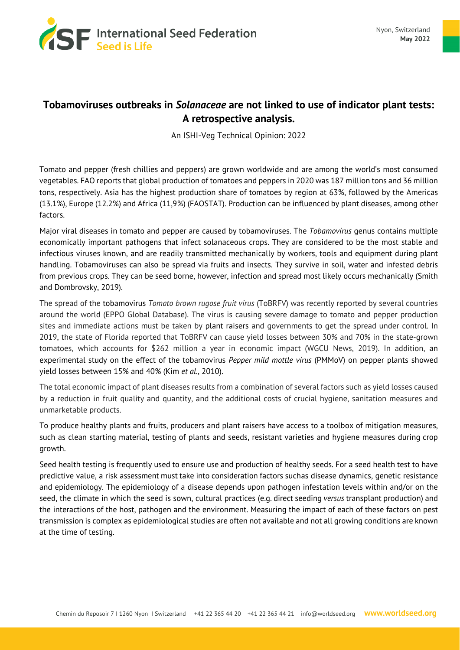

## **Tobamoviruses outbreaks in** *Solanaceae* **are not linked to use of indicator plant tests: A retrospective analysis.**

An ISHI-Veg Technical Opinion: 2022

Tomato and pepper (fresh chillies and peppers) are grown worldwide and are among the world's most consumed vegetables. FAO reports that global production of tomatoes and peppers in 2020 was 187 million tons and 36 million tons, respectively. Asia has the highest production share of tomatoes by region at 63%, followed by the Americas (13.1%), Europe (12.2%) and Africa (11,9%) (FAOSTAT). Production can be influenced by plant diseases, among other factors.

Major viral diseases in tomato and pepper are caused by tobamoviruses. The *Tobamovirus* genus contains multiple economically important pathogens that infect solanaceous crops. They are considered to be the most stable and infectious viruses known, and are readily transmitted mechanically by workers, tools and equipment during plant handling. Tobamoviruses can also be spread via fruits and insects. They survive in soil, water and infested debris from previous crops. They can be seed borne, however, infection and spread most likely occurs mechanically (Smith and Dombrovsky, 2019).

The spread of the tobamovirus *Tomato brown rugose fruit virus* (ToBRFV) was recently reported by several countries around the world (EPPO Global Database). The virus is causing severe damage to tomato and pepper production sites and immediate actions must be taken by plant raisers and governments to get the spread under control. In 2019, the state of Florida reported that ToBRFV can cause yield losses between 30% and 70% in the state-grown tomatoes, which accounts for \$262 million a year in economic impact (WGCU News, 2019). In addition, an experimental study on the effect of the tobamovirus *Pepper mild mottle virus* (PMMoV) on pepper plants showed yield losses between 15% and 40% (Kim *et al.*, 2010).

The total economic impact of plant diseases results from a combination of several factors such as yield losses caused by a reduction in fruit quality and quantity, and the additional costs of crucial hygiene, sanitation measures and unmarketable products.

To produce healthy plants and fruits, producers and plant raisers have access to a toolbox of mitigation measures, such as clean starting material, testing of plants and seeds, resistant varieties and hygiene measures during crop growth.

Seed health testing is frequently used to ensure use and production of healthy seeds. For a seed health test to have predictive value, a risk assessment must take into consideration factors suchas disease dynamics, genetic resistance and epidemiology. The epidemiology of a disease depends upon pathogen infestation levels within and/or on the seed, the climate in which the seed is sown, cultural practices (e.g. direct seeding *versus* transplant production) and the interactions of the host, pathogen and the environment. Measuring the impact of each of these factors on pest transmission is complex as epidemiological studies are often not available and not all growing conditions are known at the time of testing.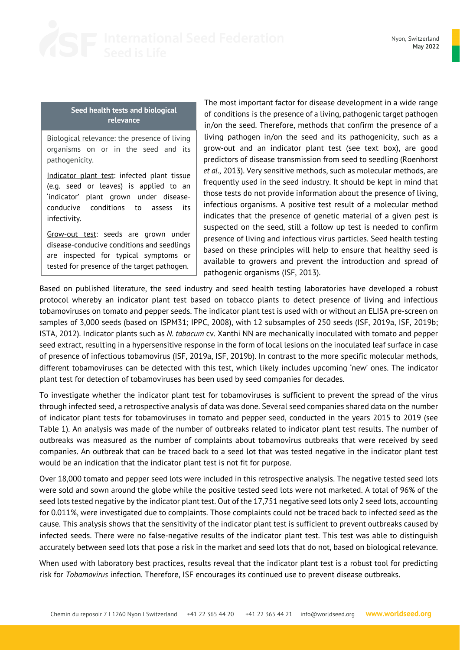

Nyon, Switzerland **May 2022**

## **Seed health tests and biological relevance**

Biological relevance: the presence of living organisms on or in the seed and its pathogenicity.

Indicator plant test: infected plant tissue (e.g. seed or leaves) is applied to an 'indicator' plant grown under diseaseconducive conditions to assess its infectivity.

Grow-out test: seeds are grown under disease-conducive conditions and seedlings are inspected for typical symptoms or tested for presence of the target pathogen.

The most important factor for disease development in a wide range of conditions is the presence of a living, pathogenic target pathogen in/on the seed. Therefore, methods that confirm the presence of a living pathogen in/on the seed and its pathogenicity, such as a grow-out and an indicator plant test (see text box), are good predictors of disease transmission from seed to seedling (Roenhorst *et al*., 2013). Very sensitive methods, such as molecular methods, are frequently used in the seed industry. It should be kept in mind that those tests do not provide information about the presence of living, infectious organisms. A positive test result of a molecular method indicates that the presence of genetic material of a given pest is suspected on the seed, still a follow up test is needed to confirm presence of living and infectious virus particles. Seed health testing based on these principles will help to ensure that healthy seed is available to growers and prevent the introduction and spread of pathogenic organisms (ISF, 2013).

Based on published literature, the seed industry and seed health testing laboratories have developed a robust protocol whereby an indicator plant test based on tobacco plants to detect presence of living and infectious tobamoviruses on tomato and pepper seeds. The indicator plant test is used with or without an ELISA pre-screen on samples of 3,000 seeds (based on ISPM31; IPPC, 2008), with 12 subsamples of 250 seeds (ISF, 2019a, ISF, 2019b; ISTA, 2012). Indicator plants such as *N. tabacum* cv. Xanthi NN are mechanically inoculated with tomato and pepper seed extract, resulting in a hypersensitive response in the form of local lesions on the inoculated leaf surface in case of presence of infectious tobamovirus (ISF, 2019a, ISF, 2019b). In contrast to the more specific molecular methods, different tobamoviruses can be detected with this test, which likely includes upcoming 'new' ones. The indicator plant test for detection of tobamoviruses has been used by seed companies for decades.

To investigate whether the indicator plant test for tobamoviruses is sufficient to prevent the spread of the virus through infected seed, a retrospective analysis of data was done. Several seed companies shared data on the number of indicator plant tests for tobamoviruses in tomato and pepper seed, conducted in the years 2015 to 2019 (see Table 1). An analysis was made of the number of outbreaks related to indicator plant test results. The number of outbreaks was measured as the number of complaints about tobamovirus outbreaks that were received by seed companies. An outbreak that can be traced back to a seed lot that was tested negative in the indicator plant test would be an indication that the indicator plant test is not fit for purpose.

Over 18,000 tomato and pepper seed lots were included in this retrospective analysis. The negative tested seed lots were sold and sown around the globe while the positive tested seed lots were not marketed. A total of 96% of the seed lots tested negative by the indicator plant test. Out of the 17,751 negative seed lots only 2 seed lots, accounting for 0.011%, were investigated due to complaints. Those complaints could not be traced back to infected seed as the cause. This analysis shows that the sensitivity of the indicator plant test is sufficient to prevent outbreaks caused by infected seeds. There were no false-negative results of the indicator plant test. This test was able to distinguish accurately between seed lots that pose a risk in the market and seed lots that do not, based on biological relevance.

When used with laboratory best practices, results reveal that the indicator plant test is a robust tool for predicting risk for *Tobamovirus* infection. Therefore, ISF encourages its continued use to prevent disease outbreaks.